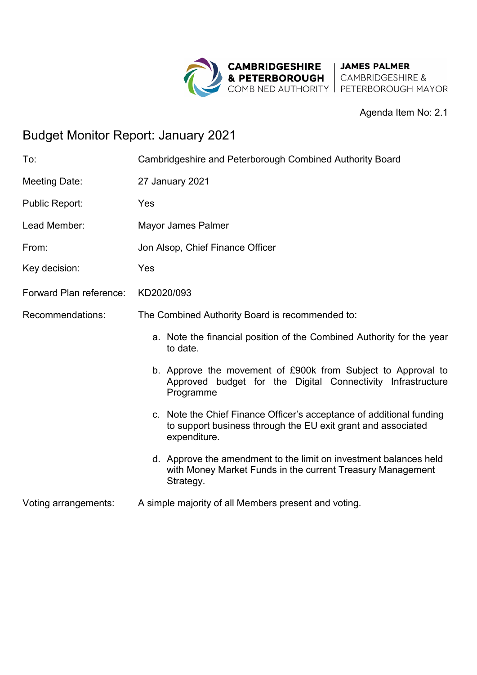

### Agenda Item No: 2.1

# Budget Monitor Report: January 2021

| To:                     | Cambridgeshire and Peterborough Combined Authority Board                                                                                             |  |  |  |  |  |  |  |
|-------------------------|------------------------------------------------------------------------------------------------------------------------------------------------------|--|--|--|--|--|--|--|
| Meeting Date:           | 27 January 2021                                                                                                                                      |  |  |  |  |  |  |  |
| <b>Public Report:</b>   | Yes                                                                                                                                                  |  |  |  |  |  |  |  |
| Lead Member:            | <b>Mayor James Palmer</b>                                                                                                                            |  |  |  |  |  |  |  |
| From:                   | Jon Alsop, Chief Finance Officer                                                                                                                     |  |  |  |  |  |  |  |
| Key decision:           | Yes                                                                                                                                                  |  |  |  |  |  |  |  |
| Forward Plan reference: | KD2020/093                                                                                                                                           |  |  |  |  |  |  |  |
| Recommendations:        | The Combined Authority Board is recommended to:                                                                                                      |  |  |  |  |  |  |  |
|                         | a. Note the financial position of the Combined Authority for the year<br>to date.                                                                    |  |  |  |  |  |  |  |
|                         | b. Approve the movement of £900k from Subject to Approval to<br>Approved budget for the Digital Connectivity Infrastructure<br>Programme             |  |  |  |  |  |  |  |
|                         | c. Note the Chief Finance Officer's acceptance of additional funding<br>to support business through the EU exit grant and associated<br>expenditure. |  |  |  |  |  |  |  |
|                         | d. Approve the amendment to the limit on investment balances held<br>with Money Market Funds in the current Treasury Management<br>Strategy.         |  |  |  |  |  |  |  |
| Voting arrangements:    | A simple majority of all Members present and voting.                                                                                                 |  |  |  |  |  |  |  |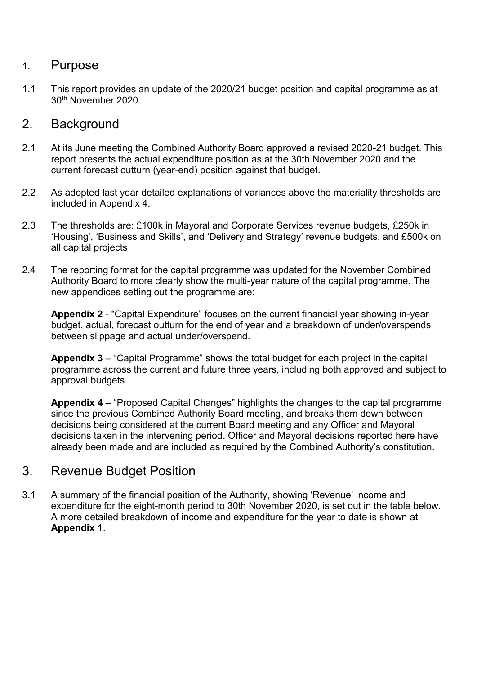### 1. Purpose

1.1 This report provides an update of the 2020/21 budget position and capital programme as at 30th November 2020.

### 2. Background

- 2.1 At its June meeting the Combined Authority Board approved a revised 2020-21 budget. This report presents the actual expenditure position as at the 30th November 2020 and the current forecast outturn (year-end) position against that budget.
- 2.2 As adopted last year detailed explanations of variances above the materiality thresholds are included in Appendix 4.
- 2.3 The thresholds are: £100k in Mayoral and Corporate Services revenue budgets, £250k in 'Housing', 'Business and Skills', and 'Delivery and Strategy' revenue budgets, and £500k on all capital projects
- 2.4 The reporting format for the capital programme was updated for the November Combined Authority Board to more clearly show the multi-year nature of the capital programme. The new appendices setting out the programme are:

**Appendix 2** - "Capital Expenditure" focuses on the current financial year showing in-year budget, actual, forecast outturn for the end of year and a breakdown of under/overspends between slippage and actual under/overspend.

**Appendix 3** – "Capital Programme" shows the total budget for each project in the capital programme across the current and future three years, including both approved and subject to approval budgets.

**Appendix 4** – "Proposed Capital Changes" highlights the changes to the capital programme since the previous Combined Authority Board meeting, and breaks them down between decisions being considered at the current Board meeting and any Officer and Mayoral decisions taken in the intervening period. Officer and Mayoral decisions reported here have already been made and are included as required by the Combined Authority's constitution.

## 3. Revenue Budget Position

3.1 A summary of the financial position of the Authority, showing 'Revenue' income and expenditure for the eight-month period to 30th November 2020, is set out in the table below. A more detailed breakdown of income and expenditure for the year to date is shown at **Appendix 1**.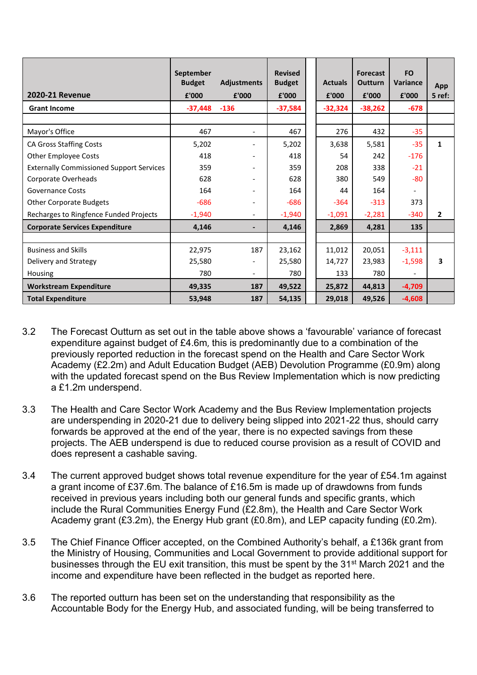|                                                 | September<br><b>Budget</b> | <b>Adjustments</b>           |           | <b>Actuals</b> | <b>Forecast</b><br><b>Outturn</b> | <b>FO</b><br>Variance | App          |
|-------------------------------------------------|----------------------------|------------------------------|-----------|----------------|-----------------------------------|-----------------------|--------------|
| <b>2020-21 Revenue</b>                          | £'000                      | £'000                        | £'000     | £'000          | £'000                             | £'000                 | 5 ref:       |
| <b>Grant Income</b>                             | -37,448                    | $-136$                       | $-37,584$ | $-32,324$      | $-38,262$                         | $-678$                |              |
|                                                 |                            |                              |           |                |                                   |                       |              |
| Mayor's Office                                  | 467                        | $\overline{\phantom{a}}$     | 467       | 276            | 432                               | $-35$                 |              |
| <b>CA Gross Staffing Costs</b>                  | 5,202                      |                              | 5,202     | 3,638          | 5,581                             | $-35$                 | 1            |
| <b>Other Employee Costs</b>                     | 418                        |                              | 418       | 54             | 242                               | $-176$                |              |
| <b>Externally Commissioned Support Services</b> | 359                        | -                            | 359       | 208            | 338                               | $-21$                 |              |
| Corporate Overheads                             | 628                        | Ξ.                           | 628       | 380            | 549                               | $-80$                 |              |
| <b>Governance Costs</b>                         | 164                        |                              | 164       | 44             | 164                               |                       |              |
| <b>Other Corporate Budgets</b>                  | $-686$                     | -                            | $-686$    | $-364$         | $-313$                            | 373                   |              |
| Recharges to Ringfence Funded Projects          | $-1,940$                   | $\qquad \qquad \blacksquare$ | $-1,940$  | $-1,091$       | $-2,281$                          | $-340$                | $\mathbf{2}$ |
| <b>Corporate Services Expenditure</b>           | 4,146                      | -                            | 4,146     | 2,869          | 4,281                             | 135                   |              |
|                                                 |                            |                              |           |                |                                   |                       |              |
| <b>Business and Skills</b>                      | 22,975                     | 187                          | 23,162    | 11,012         | 20,051                            | $-3,111$              |              |
| Delivery and Strategy                           | 25,580                     |                              | 25,580    | 14,727         | 23,983                            | $-1,598$              | 3            |
| Housing                                         | 780                        | $\overline{\phantom{0}}$     | 780       | 133            | 780                               |                       |              |
| <b>Workstream Expenditure</b>                   | 49,335                     | 187                          | 49,522    | 25,872         | 44,813                            | -4,709                |              |
| <b>Total Expenditure</b>                        | 53,948                     | 187                          | 54,135    | 29,018         | 49,526                            | $-4,608$              |              |

- 3.2 The Forecast Outturn as set out in the table above shows a 'favourable' variance of forecast expenditure against budget of £4.6m, this is predominantly due to a combination of the previously reported reduction in the forecast spend on the Health and Care Sector Work Academy (£2.2m) and Adult Education Budget (AEB) Devolution Programme (£0.9m) along with the updated forecast spend on the Bus Review Implementation which is now predicting a £1.2m underspend.
- 3.3 The Health and Care Sector Work Academy and the Bus Review Implementation projects are underspending in 2020-21 due to delivery being slipped into 2021-22 thus, should carry forwards be approved at the end of the year, there is no expected savings from these projects. The AEB underspend is due to reduced course provision as a result of COVID and does represent a cashable saving.
- 3.4 The current approved budget shows total revenue expenditure for the year of £54.1m against a grant income of £37.6m. The balance of £16.5m is made up of drawdowns from funds received in previous years including both our general funds and specific grants, which include the Rural Communities Energy Fund (£2.8m), the Health and Care Sector Work Academy grant (£3.2m), the Energy Hub grant (£0.8m), and LEP capacity funding (£0.2m).
- 3.5 The Chief Finance Officer accepted, on the Combined Authority's behalf, a £136k grant from the Ministry of Housing, Communities and Local Government to provide additional support for businesses through the EU exit transition, this must be spent by the 31<sup>st</sup> March 2021 and the income and expenditure have been reflected in the budget as reported here.
- 3.6 The reported outturn has been set on the understanding that responsibility as the Accountable Body for the Energy Hub, and associated funding, will be being transferred to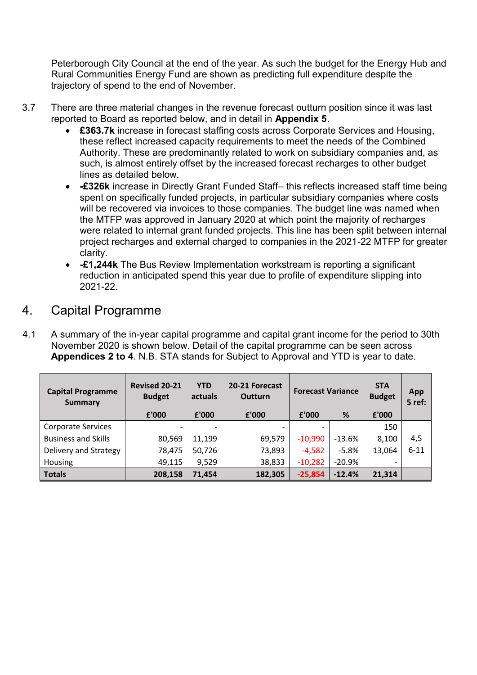Peterborough City Council at the end of the year. As such the budget for the Energy Hub and Rural Communities Energy Fund are shown as predicting full expenditure despite the trajectory of spend to the end of November.

- 3.7 There are three material changes in the revenue forecast outturn position since it was last reported to Board as reported below, and in detail in **Appendix 5**.
	- **£363.7k** increase in forecast staffing costs across Corporate Services and Housing, these reflect increased capacity requirements to meet the needs of the Combined Authority. These are predominantly related to work on subsidiary companies and, as such, is almost entirely offset by the increased forecast recharges to other budget lines as detailed below.
	- **-£326k** increase in Directly Grant Funded Staff– this reflects increased staff time being spent on specifically funded projects, in particular subsidiary companies where costs will be recovered via invoices to those companies. The budget line was named when the MTFP was approved in January 2020 at which point the majority of recharges were related to internal grant funded projects. This line has been split between internal project recharges and external charged to companies in the 2021-22 MTFP for greater clarity.
	- **-£1,244k** The Bus Review Implementation workstream is reporting a significant reduction in anticipated spend this year due to profile of expenditure slipping into 2021-22.

### 4. Capital Programme

4.1 A summary of the in-year capital programme and capital grant income for the period to 30th November 2020 is shown below. Detail of the capital programme can be seen across **Appendices 2 to 4**. N.B. STA stands for Subject to Approval and YTD is year to date.

| <b>Capital Programme</b><br><b>Summary</b> | <b>Revised 20-21</b><br><b>Budget</b> | <b>YTD</b><br>actuals | 20-21 Forecast<br><b>Outturn</b> | <b>Forecast Variance</b> |          | <b>STA</b><br><b>Budget</b> | App<br>5 ref: |
|--------------------------------------------|---------------------------------------|-----------------------|----------------------------------|--------------------------|----------|-----------------------------|---------------|
|                                            | £'000                                 | £'000                 | £'000                            | £'000                    | %        | £'000                       |               |
| <b>Corporate Services</b>                  |                                       |                       |                                  |                          |          | 150                         |               |
| <b>Business and Skills</b>                 | 80,569                                | 11,199                | 69,579                           | $-10,990$                | $-13.6%$ | 8,100                       | 4,5           |
| Delivery and Strategy                      | 78,475                                | 50,726                | 73,893                           | $-4,582$                 | $-5.8%$  | 13,064                      | $6 - 11$      |
| Housing                                    | 49,115                                | 9,529                 | 38,833                           | $-10,282$                | $-20.9%$ |                             |               |
| <b>Totals</b>                              | 208.158                               | 71.454                | 182,305                          | $-25,854$                | $-12.4%$ | 21,314                      |               |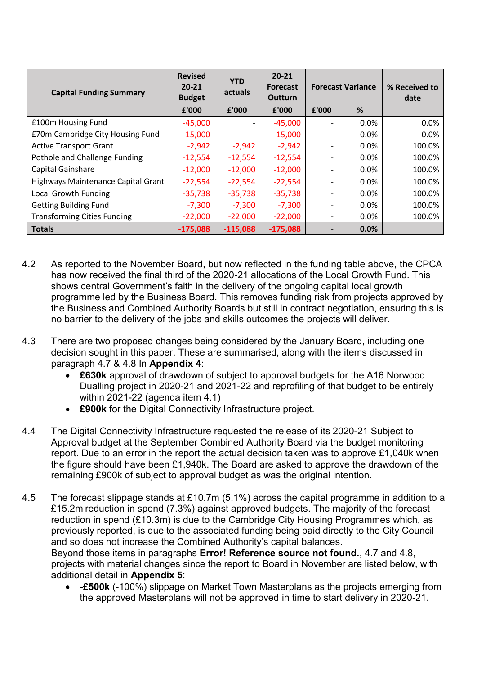| <b>Capital Funding Summary</b>     | <b>Revised</b><br>$20 - 21$<br><b>Budget</b> | <b>YTD</b><br>actuals        | $20 - 21$<br><b>Forecast</b><br><b>Outturn</b> | <b>Forecast Variance</b> |      | % Received to<br>date |
|------------------------------------|----------------------------------------------|------------------------------|------------------------------------------------|--------------------------|------|-----------------------|
|                                    | £'000                                        | £'000                        | £'000                                          | £'000                    | %    |                       |
| £100m Housing Fund                 | $-45,000$                                    | $\qquad \qquad \blacksquare$ | $-45,000$                                      |                          | 0.0% | 0.0%                  |
| £70m Cambridge City Housing Fund   | $-15,000$                                    |                              | $-15,000$                                      |                          | 0.0% | 0.0%                  |
| <b>Active Transport Grant</b>      | $-2,942$                                     | $-2,942$                     | $-2,942$                                       |                          | 0.0% | 100.0%                |
| Pothole and Challenge Funding      | $-12,554$                                    | $-12,554$                    | $-12,554$                                      |                          | 0.0% | 100.0%                |
| Capital Gainshare                  | $-12,000$                                    | $-12,000$                    | $-12,000$                                      |                          | 0.0% | 100.0%                |
| Highways Maintenance Capital Grant | $-22,554$                                    | $-22,554$                    | $-22,554$                                      |                          | 0.0% | 100.0%                |
| <b>Local Growth Funding</b>        | $-35,738$                                    | $-35,738$                    | $-35,738$                                      |                          | 0.0% | 100.0%                |
| <b>Getting Building Fund</b>       | $-7,300$                                     | $-7,300$                     | $-7,300$                                       |                          | 0.0% | 100.0%                |
| <b>Transforming Cities Funding</b> | $-22,000$                                    | $-22,000$                    | $-22,000$                                      | $\overline{\phantom{0}}$ | 0.0% | 100.0%                |
| <b>Totals</b>                      | $-175,088$                                   | $-115,088$                   | $-175,088$                                     |                          | 0.0% |                       |

- 4.2 As reported to the November Board, but now reflected in the funding table above, the CPCA has now received the final third of the 2020-21 allocations of the Local Growth Fund. This shows central Government's faith in the delivery of the ongoing capital local growth programme led by the Business Board. This removes funding risk from projects approved by the Business and Combined Authority Boards but still in contract negotiation, ensuring this is no barrier to the delivery of the jobs and skills outcomes the projects will deliver.
- 4.3 There are two proposed changes being considered by the January Board, including one decision sought in this paper. These are summarised, along with the items discussed in paragraph [4.7](#page-5-0) & [4.8](#page-5-1) In **Appendix 4**:
	- **£630k** approval of drawdown of subject to approval budgets for the A16 Norwood Dualling project in 2020-21 and 2021-22 and reprofiling of that budget to be entirely within 2021-22 (agenda item 4.1)
	- **£900k** for the Digital Connectivity Infrastructure project.
- 4.4 The Digital Connectivity Infrastructure requested the release of its 2020-21 Subject to Approval budget at the September Combined Authority Board via the budget monitoring report. Due to an error in the report the actual decision taken was to approve £1,040k when the figure should have been £1,940k. The Board are asked to approve the drawdown of the remaining £900k of subject to approval budget as was the original intention.
- 4.5 The forecast slippage stands at £10.7m (5.1%) across the capital programme in addition to a £15.2m reduction in spend (7.3%) against approved budgets. The majority of the forecast reduction in spend (£10.3m) is due to the Cambridge City Housing Programmes which, as previously reported, is due to the associated funding being paid directly to the City Council and so does not increase the Combined Authority's capital balances. Beyond those items in paragraphs **Error! Reference source not found.**, [4.7](#page-5-0) and [4.8,](#page-5-1)

projects with material changes since the report to Board in November are listed below, with additional detail in **Appendix 5**:

 **-£500k** (-100%) slippage on Market Town Masterplans as the projects emerging from the approved Masterplans will not be approved in time to start delivery in 2020-21.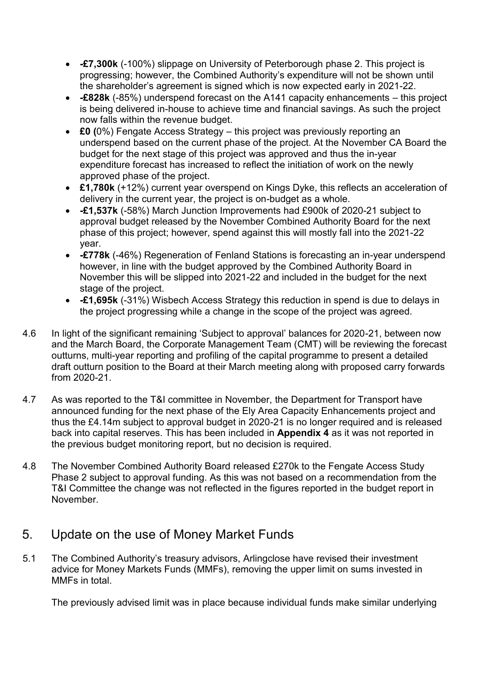- **-£7,300k** (-100%) slippage on University of Peterborough phase 2. This project is progressing; however, the Combined Authority's expenditure will not be shown until the shareholder's agreement is signed which is now expected early in 2021-22.
- **-£828k** (-85%) underspend forecast on the A141 capacity enhancements this project is being delivered in-house to achieve time and financial savings. As such the project now falls within the revenue budget.
- <span id="page-5-2"></span> **£0 (**0%) Fengate Access Strategy – this project was previously reporting an underspend based on the current phase of the project. At the November CA Board the budget for the next stage of this project was approved and thus the in-year expenditure forecast has increased to reflect the initiation of work on the newly approved phase of the project.
- **£1,780k** (+12%) current year overspend on Kings Dyke, this reflects an acceleration of delivery in the current year, the project is on-budget as a whole.
- **-£1,537k** (-58%) March Junction Improvements had £900k of 2020-21 subject to approval budget released by the November Combined Authority Board for the next phase of this project; however, spend against this will mostly fall into the 2021-22 year.
- <span id="page-5-3"></span> **-£778k** (-46%) Regeneration of Fenland Stations is forecasting an in-year underspend however, in line with the budget approved by the Combined Authority Board in November this will be slipped into 2021-22 and included in the budget for the next stage of the project.
- **-£1,695k** (-31%) Wisbech Access Strategy this reduction in spend is due to delays in the project progressing while a change in the scope of the project was agreed.
- 4.6 In light of the significant remaining 'Subject to approval' balances for 2020-21, between now and the March Board, the Corporate Management Team (CMT) will be reviewing the forecast outturns, multi-year reporting and profiling of the capital programme to present a detailed draft outturn position to the Board at their March meeting along with proposed carry forwards from 2020-21.
- <span id="page-5-0"></span>4.7 As was reported to the T&I committee in November, the Department for Transport have announced funding for the next phase of the Ely Area Capacity Enhancements project and thus the £4.14m subject to approval budget in 2020-21 is no longer required and is released back into capital reserves. This has been included in **Appendix 4** as it was not reported in the previous budget monitoring report, but no decision is required.
- <span id="page-5-1"></span>4.8 The November Combined Authority Board released £270k to the Fengate Access Study Phase 2 subject to approval funding. As this was not based on a recommendation from the T&I Committee the change was not reflected in the figures reported in the budget report in November.

## 5. Update on the use of Money Market Funds

5.1 The Combined Authority's treasury advisors, Arlingclose have revised their investment advice for Money Markets Funds (MMFs), removing the upper limit on sums invested in MMFs in total.

The previously advised limit was in place because individual funds make similar underlying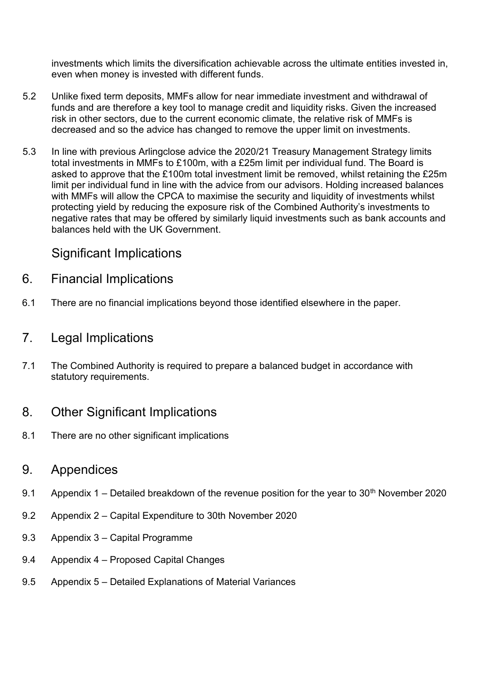investments which limits the diversification achievable across the ultimate entities invested in, even when money is invested with different funds.

- 5.2 Unlike fixed term deposits, MMFs allow for near immediate investment and withdrawal of funds and are therefore a key tool to manage credit and liquidity risks. Given the increased risk in other sectors, due to the current economic climate, the relative risk of MMFs is decreased and so the advice has changed to remove the upper limit on investments.
- 5.3 In line with previous Arlingclose advice the 2020/21 Treasury Management Strategy limits total investments in MMFs to £100m, with a £25m limit per individual fund. The Board is asked to approve that the £100m total investment limit be removed, whilst retaining the £25m limit per individual fund in line with the advice from our advisors. Holding increased balances with MMFs will allow the CPCA to maximise the security and liquidity of investments whilst protecting yield by reducing the exposure risk of the Combined Authority's investments to negative rates that may be offered by similarly liquid investments such as bank accounts and balances held with the UK Government.

## Significant Implications

- 6. Financial Implications
- 6.1 There are no financial implications beyond those identified elsewhere in the paper.

### 7. Legal Implications

7.1 The Combined Authority is required to prepare a balanced budget in accordance with statutory requirements.

## 8. Other Significant Implications

8.1 There are no other significant implications

### 9. Appendices

- 9.1 Appendix 1 Detailed breakdown of the revenue position for the year to  $30<sup>th</sup>$  November 2020
- 9.2 Appendix 2 Capital Expenditure to 30th November 2020
- 9.3 Appendix 3 Capital Programme
- 9.4 Appendix 4 Proposed Capital Changes
- 9.5 Appendix 5 Detailed Explanations of Material Variances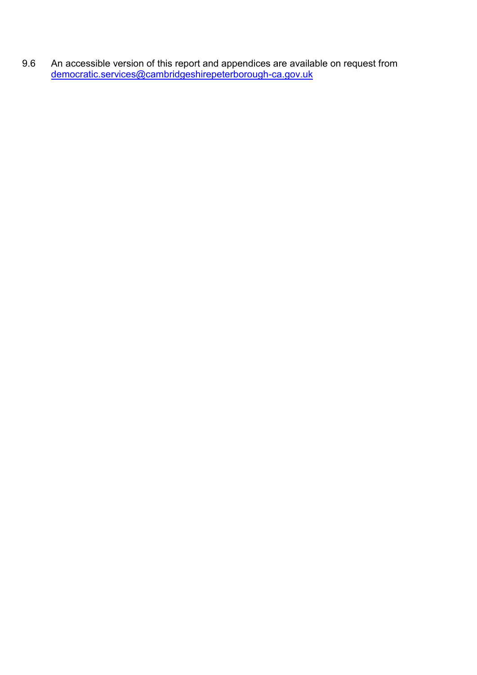9.6 An accessible version of this report and appendices are available on request from [democratic.services@cambridgeshirepeterborough-ca.gov.uk](mailto:democratic.services@cambridgeshirepeterborough-ca.gov.uk)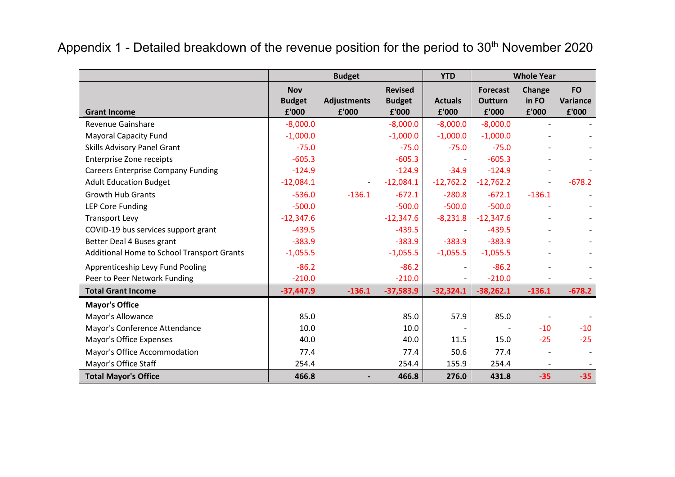|                                            |                                      | <b>Budget</b>               |                                          | <b>YTD</b>              |                                            | <b>Whole Year</b>               |                                |
|--------------------------------------------|--------------------------------------|-----------------------------|------------------------------------------|-------------------------|--------------------------------------------|---------------------------------|--------------------------------|
| <b>Grant Income</b>                        | <b>Nov</b><br><b>Budget</b><br>£'000 | <b>Adjustments</b><br>£'000 | <b>Revised</b><br><b>Budget</b><br>£'000 | <b>Actuals</b><br>£'000 | <b>Forecast</b><br><b>Outturn</b><br>£'000 | <b>Change</b><br>in FO<br>£'000 | <b>FO</b><br>Variance<br>£'000 |
| <b>Revenue Gainshare</b>                   | $-8,000.0$                           |                             | $-8,000.0$                               | $-8,000.0$              | $-8,000.0$                                 |                                 |                                |
| <b>Mayoral Capacity Fund</b>               | $-1,000.0$                           |                             | $-1,000.0$                               | $-1,000.0$              | $-1,000.0$                                 |                                 |                                |
| Skills Advisory Panel Grant                | $-75.0$                              |                             | $-75.0$                                  | $-75.0$                 | $-75.0$                                    |                                 |                                |
| <b>Enterprise Zone receipts</b>            | $-605.3$                             |                             | $-605.3$                                 |                         | $-605.3$                                   |                                 |                                |
| <b>Careers Enterprise Company Funding</b>  | $-124.9$                             |                             | $-124.9$                                 | $-34.9$                 | $-124.9$                                   |                                 |                                |
| <b>Adult Education Budget</b>              | $-12,084.1$                          |                             | $-12,084.1$                              | $-12,762.2$             | $-12,762.2$                                |                                 | $-678.2$                       |
| <b>Growth Hub Grants</b>                   | $-536.0$                             | $-136.1$                    | $-672.1$                                 | $-280.8$                | $-672.1$                                   | $-136.1$                        |                                |
| <b>LEP Core Funding</b>                    | $-500.0$                             |                             | $-500.0$                                 | $-500.0$                | $-500.0$                                   |                                 |                                |
| <b>Transport Levy</b>                      | $-12,347.6$                          |                             | $-12,347.6$                              | $-8,231.8$              | $-12,347.6$                                |                                 |                                |
| COVID-19 bus services support grant        | $-439.5$                             |                             | $-439.5$                                 |                         | $-439.5$                                   |                                 |                                |
| Better Deal 4 Buses grant                  | $-383.9$                             |                             | $-383.9$                                 | $-383.9$                | $-383.9$                                   |                                 |                                |
| Additional Home to School Transport Grants | $-1,055.5$                           |                             | $-1,055.5$                               | $-1,055.5$              | $-1,055.5$                                 |                                 |                                |
| Apprenticeship Levy Fund Pooling           | $-86.2$                              |                             | $-86.2$                                  |                         | $-86.2$                                    |                                 |                                |
| Peer to Peer Network Funding               | $-210.0$                             |                             | $-210.0$                                 |                         | $-210.0$                                   |                                 |                                |
| <b>Total Grant Income</b>                  | $-37,447.9$                          | $-136.1$                    | $-37,583.9$                              | $-32,324.1$             | $-38,262.1$                                | $-136.1$                        | $-678.2$                       |
| <b>Mayor's Office</b>                      |                                      |                             |                                          |                         |                                            |                                 |                                |
| Mayor's Allowance                          | 85.0                                 |                             | 85.0                                     | 57.9                    | 85.0                                       |                                 |                                |
| Mayor's Conference Attendance              | 10.0                                 |                             | 10.0                                     |                         |                                            | $-10$                           | $-10$                          |
| Mayor's Office Expenses                    | 40.0                                 |                             | 40.0                                     | 11.5                    | 15.0                                       | $-25$                           | $-25$                          |
| Mayor's Office Accommodation               | 77.4                                 |                             | 77.4                                     | 50.6                    | 77.4                                       |                                 |                                |
| Mayor's Office Staff                       | 254.4                                |                             | 254.4                                    | 155.9                   | 254.4                                      |                                 |                                |
| <b>Total Mayor's Office</b>                | 466.8                                |                             | 466.8                                    | 276.0                   | 431.8                                      | $-35$                           | $-35$                          |

Appendix 1 - Detailed breakdown of the revenue position for the period to 30<sup>th</sup> November 2020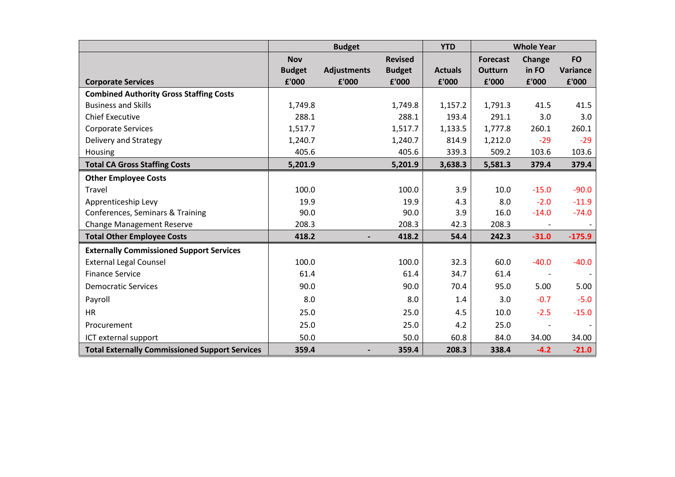|                                                       |                             | <b>Budget</b>      |                                 | <b>YTD</b>     | <b>Whole Year</b>                 |                 |                       |
|-------------------------------------------------------|-----------------------------|--------------------|---------------------------------|----------------|-----------------------------------|-----------------|-----------------------|
|                                                       | <b>Nov</b><br><b>Budget</b> | <b>Adjustments</b> | <b>Revised</b><br><b>Budget</b> | <b>Actuals</b> | <b>Forecast</b><br><b>Outturn</b> | Change<br>in FO | <b>FO</b><br>Variance |
| <b>Corporate Services</b>                             | £'000                       | £'000              | £'000                           | £'000          | £'000                             | £'000           | £'000                 |
| <b>Combined Authority Gross Staffing Costs</b>        |                             |                    |                                 |                |                                   |                 |                       |
| <b>Business and Skills</b>                            | 1,749.8                     |                    | 1,749.8                         | 1,157.2        | 1,791.3                           | 41.5            | 41.5                  |
| <b>Chief Executive</b>                                | 288.1                       |                    | 288.1                           | 193.4          | 291.1                             | 3.0             | 3.0                   |
| <b>Corporate Services</b>                             | 1,517.7                     |                    | 1,517.7                         | 1,133.5        | 1,777.8                           | 260.1           | 260.1                 |
| Delivery and Strategy                                 | 1,240.7                     |                    | 1,240.7                         | 814.9          | 1,212.0                           | $-29$           | $-29$                 |
| Housing                                               | 405.6                       |                    | 405.6                           | 339.3          | 509.2                             | 103.6           | 103.6                 |
| <b>Total CA Gross Staffing Costs</b>                  | 5,201.9                     |                    | 5,201.9                         | 3,638.3        | 5,581.3                           | 379.4           | 379.4                 |
| <b>Other Employee Costs</b>                           |                             |                    |                                 |                |                                   |                 |                       |
| Travel                                                | 100.0                       |                    | 100.0                           | 3.9            | 10.0                              | $-15.0$         | $-90.0$               |
| Apprenticeship Levy                                   | 19.9                        |                    | 19.9                            | 4.3            | 8.0                               | $-2.0$          | $-11.9$               |
| Conferences, Seminars & Training                      | 90.0                        |                    | 90.0                            | 3.9            | 16.0                              | $-14.0$         | $-74.0$               |
| <b>Change Management Reserve</b>                      | 208.3                       |                    | 208.3                           | 42.3           | 208.3                             |                 |                       |
| <b>Total Other Employee Costs</b>                     | 418.2                       |                    | 418.2                           | 54.4           | 242.3                             | $-31.0$         | $-175.9$              |
| <b>Externally Commissioned Support Services</b>       |                             |                    |                                 |                |                                   |                 |                       |
| <b>External Legal Counsel</b>                         | 100.0                       |                    | 100.0                           | 32.3           | 60.0                              | $-40.0$         | $-40.0$               |
| <b>Finance Service</b>                                | 61.4                        |                    | 61.4                            | 34.7           | 61.4                              |                 |                       |
| <b>Democratic Services</b>                            | 90.0                        |                    | 90.0                            | 70.4           | 95.0                              | 5.00            | 5.00                  |
| Payroll                                               | 8.0                         |                    | 8.0                             | 1.4            | 3.0                               | $-0.7$          | $-5.0$                |
| <b>HR</b>                                             | 25.0                        |                    | 25.0                            | 4.5            | 10.0                              | $-2.5$          | $-15.0$               |
| Procurement                                           | 25.0                        |                    | 25.0                            | 4.2            | 25.0                              |                 |                       |
| ICT external support                                  | 50.0                        |                    | 50.0                            | 60.8           | 84.0                              | 34.00           | 34.00                 |
| <b>Total Externally Commissioned Support Services</b> | 359.4                       |                    | 359.4                           | 208.3          | 338.4                             | $-4.2$          | $-21.0$               |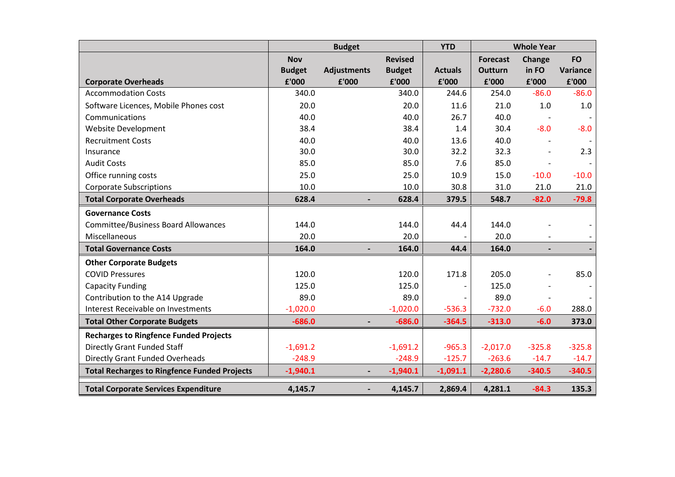|                                                     |               | <b>Budget</b>            | <b>YTD</b>     | <b>Whole Year</b> |                 |          |           |
|-----------------------------------------------------|---------------|--------------------------|----------------|-------------------|-----------------|----------|-----------|
|                                                     | <b>Nov</b>    |                          | <b>Revised</b> |                   | <b>Forecast</b> | Change   | <b>FO</b> |
|                                                     | <b>Budget</b> | <b>Adjustments</b>       | <b>Budget</b>  | <b>Actuals</b>    | <b>Outturn</b>  | in FO    | Variance  |
| <b>Corporate Overheads</b>                          | £'000         | £'000                    | £'000          | £'000             | £'000           | £'000    | £'000     |
| <b>Accommodation Costs</b>                          | 340.0         |                          | 340.0          | 244.6             | 254.0           | $-86.0$  | $-86.0$   |
| Software Licences, Mobile Phones cost               | 20.0          |                          | 20.0           | 11.6              | 21.0            | 1.0      | 1.0       |
| Communications                                      | 40.0          |                          | 40.0           | 26.7              | 40.0            |          |           |
| Website Development                                 | 38.4          |                          | 38.4           | 1.4               | 30.4            | $-8.0$   | $-8.0$    |
| <b>Recruitment Costs</b>                            | 40.0          |                          | 40.0           | 13.6              | 40.0            |          |           |
| Insurance                                           | 30.0          |                          | 30.0           | 32.2              | 32.3            |          | 2.3       |
| <b>Audit Costs</b>                                  | 85.0          |                          | 85.0           | 7.6               | 85.0            |          |           |
| Office running costs                                | 25.0          |                          | 25.0           | 10.9              | 15.0            | $-10.0$  | $-10.0$   |
| <b>Corporate Subscriptions</b>                      | 10.0          |                          | 10.0           | 30.8              | 31.0            | 21.0     | 21.0      |
| <b>Total Corporate Overheads</b>                    | 628.4         |                          | 628.4          | 379.5             | 548.7           | $-82.0$  | $-79.8$   |
| <b>Governance Costs</b>                             |               |                          |                |                   |                 |          |           |
| <b>Committee/Business Board Allowances</b>          | 144.0         |                          | 144.0          | 44.4              | 144.0           |          |           |
| Miscellaneous                                       | 20.0          |                          | 20.0           |                   | 20.0            |          |           |
| <b>Total Governance Costs</b>                       | 164.0         |                          | 164.0          | 44.4              | 164.0           |          |           |
| <b>Other Corporate Budgets</b>                      |               |                          |                |                   |                 |          |           |
| <b>COVID Pressures</b>                              | 120.0         |                          | 120.0          | 171.8             | 205.0           |          | 85.0      |
| <b>Capacity Funding</b>                             | 125.0         |                          | 125.0          |                   | 125.0           |          |           |
| Contribution to the A14 Upgrade                     | 89.0          |                          | 89.0           |                   | 89.0            |          |           |
| Interest Receivable on Investments                  | $-1,020.0$    |                          | $-1,020.0$     | $-536.3$          | $-732.0$        | $-6.0$   | 288.0     |
| <b>Total Other Corporate Budgets</b>                | $-686.0$      |                          | $-686.0$       | $-364.5$          | $-313.0$        | $-6.0$   | 373.0     |
| <b>Recharges to Ringfence Funded Projects</b>       |               |                          |                |                   |                 |          |           |
| <b>Directly Grant Funded Staff</b>                  | $-1,691.2$    |                          | $-1,691.2$     | $-965.3$          | $-2,017.0$      | $-325.8$ | $-325.8$  |
| <b>Directly Grant Funded Overheads</b>              | $-248.9$      |                          | $-248.9$       | $-125.7$          | $-263.6$        | $-14.7$  | $-14.7$   |
| <b>Total Recharges to Ringfence Funded Projects</b> | $-1,940.1$    | $\overline{\phantom{a}}$ | $-1,940.1$     | $-1,091.1$        | $-2,280.6$      | $-340.5$ | $-340.5$  |
| <b>Total Corporate Services Expenditure</b>         | 4,145.7       |                          | 4,145.7        | 2,869.4           | 4,281.1         | $-84.3$  | 135.3     |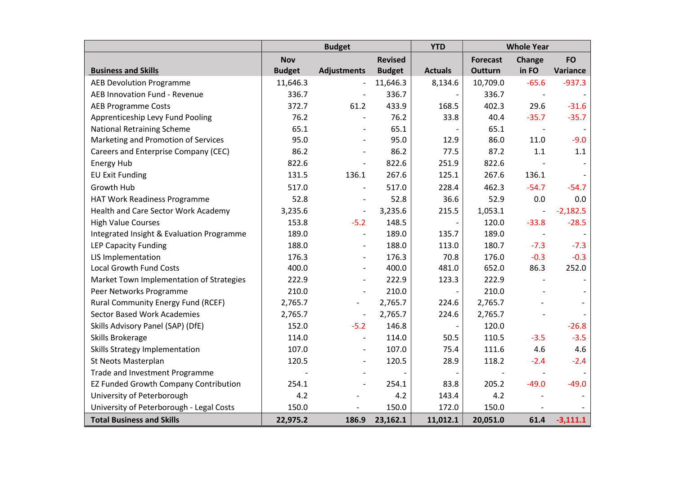|                                              |               | <b>Budget</b>            |                | <b>YTD</b>     |                 | <b>Whole Year</b>        |            |  |  |
|----------------------------------------------|---------------|--------------------------|----------------|----------------|-----------------|--------------------------|------------|--|--|
|                                              | <b>Nov</b>    |                          | <b>Revised</b> |                | <b>Forecast</b> | Change                   | <b>FO</b>  |  |  |
| <b>Business and Skills</b>                   | <b>Budget</b> | <b>Adjustments</b>       | <b>Budget</b>  | <b>Actuals</b> | Outturn         | in FO                    | Variance   |  |  |
| <b>AEB Devolution Programme</b>              | 11,646.3      | $\overline{\phantom{a}}$ | 11,646.3       | 8,134.6        | 10,709.0        | $-65.6$                  | $-937.3$   |  |  |
| AEB Innovation Fund - Revenue                | 336.7         |                          | 336.7          |                | 336.7           | $\overline{\phantom{a}}$ |            |  |  |
| <b>AEB Programme Costs</b>                   | 372.7         | 61.2                     | 433.9          | 168.5          | 402.3           | 29.6                     | $-31.6$    |  |  |
| Apprenticeship Levy Fund Pooling             | 76.2          | $\overline{\phantom{a}}$ | 76.2           | 33.8           | 40.4            | $-35.7$                  | $-35.7$    |  |  |
| <b>National Retraining Scheme</b>            | 65.1          |                          | 65.1           |                | 65.1            |                          |            |  |  |
| Marketing and Promotion of Services          | 95.0          | $\overline{\phantom{a}}$ | 95.0           | 12.9           | 86.0            | 11.0                     | $-9.0$     |  |  |
| Careers and Enterprise Company (CEC)         | 86.2          | $\blacksquare$           | 86.2           | 77.5           | 87.2            | 1.1                      | $1.1\,$    |  |  |
| Energy Hub                                   | 822.6         | $\overline{\phantom{a}}$ | 822.6          | 251.9          | 822.6           |                          |            |  |  |
| <b>EU Exit Funding</b>                       | 131.5         | 136.1                    | 267.6          | 125.1          | 267.6           | 136.1                    |            |  |  |
| Growth Hub                                   | 517.0         | $\blacksquare$           | 517.0          | 228.4          | 462.3           | $-54.7$                  | $-54.7$    |  |  |
| HAT Work Readiness Programme                 | 52.8          | $\blacksquare$           | 52.8           | 36.6           | 52.9            | 0.0                      | 0.0        |  |  |
| Health and Care Sector Work Academy          | 3,235.6       | $\overline{\phantom{a}}$ | 3,235.6        | 215.5          | 1,053.1         | $\overline{\phantom{m}}$ | $-2,182.5$ |  |  |
| <b>High Value Courses</b>                    | 153.8         | $-5.2$                   | 148.5          |                | 120.0           | $-33.8$                  | $-28.5$    |  |  |
| Integrated Insight & Evaluation Programme    | 189.0         | $\overline{\phantom{a}}$ | 189.0          | 135.7          | 189.0           | $\overline{\phantom{a}}$ |            |  |  |
| <b>LEP Capacity Funding</b>                  | 188.0         | $\blacksquare$           | 188.0          | 113.0          | 180.7           | $-7.3$                   | $-7.3$     |  |  |
| LIS Implementation                           | 176.3         | $\overline{\phantom{a}}$ | 176.3          | 70.8           | 176.0           | $-0.3$                   | $-0.3$     |  |  |
| <b>Local Growth Fund Costs</b>               | 400.0         |                          | 400.0          | 481.0          | 652.0           | 86.3                     | 252.0      |  |  |
| Market Town Implementation of Strategies     | 222.9         | $\overline{\phantom{a}}$ | 222.9          | 123.3          | 222.9           |                          |            |  |  |
| Peer Networks Programme                      | 210.0         |                          | 210.0          |                | 210.0           |                          |            |  |  |
| Rural Community Energy Fund (RCEF)           | 2,765.7       | $\qquad \qquad -$        | 2,765.7        | 224.6          | 2,765.7         |                          |            |  |  |
| <b>Sector Based Work Academies</b>           | 2,765.7       | $\overline{\phantom{a}}$ | 2,765.7        | 224.6          | 2,765.7         |                          |            |  |  |
| Skills Advisory Panel (SAP) (DfE)            | 152.0         | $-5.2$                   | 146.8          |                | 120.0           |                          | $-26.8$    |  |  |
| Skills Brokerage                             | 114.0         | $\overline{\phantom{a}}$ | 114.0          | 50.5           | 110.5           | $-3.5$                   | $-3.5$     |  |  |
| Skills Strategy Implementation               | 107.0         | $\overline{\phantom{a}}$ | 107.0          | 75.4           | 111.6           | 4.6                      | 4.6        |  |  |
| St Neots Masterplan                          | 120.5         | $\overline{\phantom{a}}$ | 120.5          | 28.9           | 118.2           | $-2.4$                   | $-2.4$     |  |  |
| Trade and Investment Programme               |               |                          |                |                |                 |                          |            |  |  |
| <b>EZ Funded Growth Company Contribution</b> | 254.1         |                          | 254.1          | 83.8           | 205.2           | $-49.0$                  | $-49.0$    |  |  |
| University of Peterborough                   | 4.2           |                          | 4.2            | 143.4          | 4.2             |                          |            |  |  |
| University of Peterborough - Legal Costs     | 150.0         | $\overline{\phantom{a}}$ | 150.0          | 172.0          | 150.0           |                          |            |  |  |
| <b>Total Business and Skills</b>             | 22,975.2      | 186.9                    | 23,162.1       | 11,012.1       | 20,051.0        | 61.4                     | $-3,111.1$ |  |  |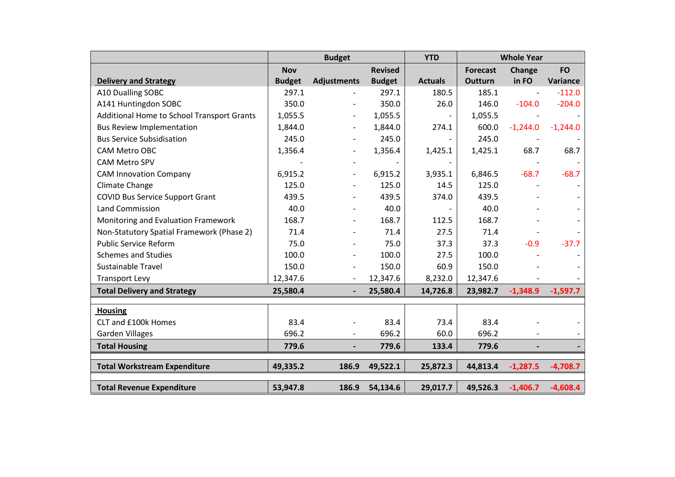|                                            |               | <b>Budget</b>            |                | <b>YTD</b>               |                 | <b>Whole Year</b>        |            |  |  |
|--------------------------------------------|---------------|--------------------------|----------------|--------------------------|-----------------|--------------------------|------------|--|--|
|                                            | <b>Nov</b>    |                          | <b>Revised</b> |                          | <b>Forecast</b> | Change                   | <b>FO</b>  |  |  |
| <b>Delivery and Strategy</b>               | <b>Budget</b> | <b>Adjustments</b>       | <b>Budget</b>  | <b>Actuals</b>           | Outturn         | in FO                    | Variance   |  |  |
| A10 Dualling SOBC                          | 297.1         |                          | 297.1          | 180.5                    | 185.1           | $\overline{\phantom{a}}$ | $-112.0$   |  |  |
| A141 Huntingdon SOBC                       | 350.0         |                          | 350.0          | 26.0                     | 146.0           | $-104.0$                 | $-204.0$   |  |  |
| Additional Home to School Transport Grants | 1,055.5       |                          | 1,055.5        |                          | 1,055.5         |                          |            |  |  |
| <b>Bus Review Implementation</b>           | 1,844.0       |                          | 1,844.0        | 274.1                    | 600.0           | $-1,244.0$               | $-1,244.0$ |  |  |
| <b>Bus Service Subsidisation</b>           | 245.0         |                          | 245.0          |                          | 245.0           |                          |            |  |  |
| CAM Metro OBC                              | 1,356.4       |                          | 1,356.4        | 1,425.1                  | 1,425.1         | 68.7                     | 68.7       |  |  |
| <b>CAM Metro SPV</b>                       |               |                          |                | $\overline{\phantom{a}}$ |                 |                          |            |  |  |
| <b>CAM Innovation Company</b>              | 6,915.2       |                          | 6,915.2        | 3,935.1                  | 6,846.5         | $-68.7$                  | $-68.7$    |  |  |
| Climate Change                             | 125.0         |                          | 125.0          | 14.5                     | 125.0           |                          |            |  |  |
| <b>COVID Bus Service Support Grant</b>     | 439.5         |                          | 439.5          | 374.0                    | 439.5           |                          |            |  |  |
| <b>Land Commission</b>                     | 40.0          |                          | 40.0           |                          | 40.0            |                          |            |  |  |
| Monitoring and Evaluation Framework        | 168.7         |                          | 168.7          | 112.5                    | 168.7           |                          |            |  |  |
| Non-Statutory Spatial Framework (Phase 2)  | 71.4          |                          | 71.4           | 27.5                     | 71.4            |                          |            |  |  |
| <b>Public Service Reform</b>               | 75.0          |                          | 75.0           | 37.3                     | 37.3            | $-0.9$                   | $-37.7$    |  |  |
| <b>Schemes and Studies</b>                 | 100.0         | $\overline{\phantom{a}}$ | 100.0          | 27.5                     | 100.0           |                          |            |  |  |
| <b>Sustainable Travel</b>                  | 150.0         |                          | 150.0          | 60.9                     | 150.0           |                          |            |  |  |
| <b>Transport Levy</b>                      | 12,347.6      | $\overline{\phantom{a}}$ | 12,347.6       | 8,232.0                  | 12,347.6        |                          |            |  |  |
| <b>Total Delivery and Strategy</b>         | 25,580.4      |                          | 25,580.4       | 14,726.8                 | 23,982.7        | $-1,348.9$               | $-1,597.7$ |  |  |
|                                            |               |                          |                |                          |                 |                          |            |  |  |
| <b>Housing</b>                             |               |                          |                |                          |                 |                          |            |  |  |
| CLT and £100k Homes                        | 83.4          |                          | 83.4           | 73.4                     | 83.4            |                          |            |  |  |
| Garden Villages                            | 696.2         |                          | 696.2          | 60.0                     | 696.2           |                          |            |  |  |
| <b>Total Housing</b>                       | 779.6         |                          | 779.6          | 133.4                    | 779.6           |                          |            |  |  |
| <b>Total Workstream Expenditure</b>        | 49,335.2      | 186.9                    | 49,522.1       | 25,872.3                 | 44,813.4        | $-1,287.5$               | $-4,708.7$ |  |  |
|                                            |               |                          |                |                          |                 |                          |            |  |  |
| <b>Total Revenue Expenditure</b>           | 53,947.8      | 186.9                    | 54,134.6       | 29,017.7                 | 49,526.3        | $-1,406.7$               | $-4,608.4$ |  |  |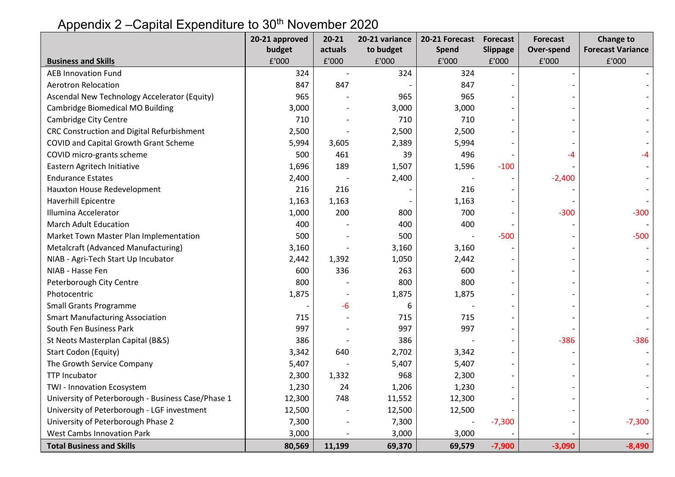#### **20-21 approved budget 20-21 actuals 20-21 variance to budget 20-21 Forecast Spend Forecast Slippage Forecast Over-spend Change to Example 20 Aproxime 20 Aproxime 20 Aproxime 20 Aproxime 20 Aproxime 20 Aproxime 20 Aproxime 20 Aproxime 20 Aproxime 20 Aproxime 20 Aproxime 20 Aproxime 20 Aproxime 20 Aproxime 20 Aproxime 20 Aproxime 20 Aproxime 20 Aproxi Business and Skills** £'000 £'000 £'000 £'000 £'000 £'000 £'000 AEB Innovation Fund 324 - 324 324 - - - Aerotron Relocation 2012 12:00 12:00 12:00 13:00 14:00 14:00 14:00 14:00 14:00 14:00 14:00 14:00 14:00 14:00 14:00 14:00 14:00 14:00 14:00 14:00 14:00 14:00 14:00 14:00 14:00 14:00 14:00 14:00 14:00 14:00 14:00 14:00 14:00 Ascendal New Technology Accelerator (Equity)  $\begin{array}{ccc} | & 965 | & - \end{array}$  965 965 965 Cambridge Biomedical MO Building  $\overline{3,000}$   $\overline{3,000}$   $\overline{3,000}$   $\overline{3,000}$   $\overline{3,000}$   $\overline{3,000}$   $\overline{3,000}$  Cambridge City Centre 710 - 710 710 - - - CRC Construction and Digital Refurbishment  $2,500$  |  $2,500$  |  $2,500$  COVID and Capital Growth Grant Scheme 5,994 3,605 2,389 5,994 - - - COVID micro-grants scheme 500 461 39 496 - -4 -4 Eastern Agritech Initiative 1,696 189 1,507 1,507 1,596 -100 Endurance Estates 2,400 - 2,400 - - -2,400 - Hauxton House Redevelopment 1 1 216 216 216 - 216 216 Haverhill Epicentre 1,163 1,163 1,163 - 1,163 - 1,163 - 1,163 - 1,163 - 1,163 - 1,163 - 1,163 - 1,163 - 1,163 - 1,163 - 1,163 - 1,163 - 1,163 - 1,163 - 1,163 - 1,163 - 1,163 - 1,163 - 1,163 - 1,163 - 1,163 - 1,163 - 1,163 Illumina Accelerator 1,000 | 1,000 | 200 | 200 | 700 | 700 | 300 | 300 | March Adult Education 400 - 400 400 - - - Market Town Master Plan Implementation 500 - 500 - -500 - -500 Metalcraft (Advanced Manufacturing)  $\begin{array}{ccc} \hline \text{M} & 3,160 & - & 3,160 \end{array}$  3,160 NIAB - Agri-Tech Start Up Incubator 1 2.442 | 2.442 | 1.392 1.050 | 2.442 NIAB - Hasse Fen 600 336 263 600 - - - Peterborough City Centre 200 200 - 200 Beterborough City Centre 300 | 200 | 200 | 200 | 200 | 200 | 200 | 200 | Photocentric 2000 - 1,875 - 1,875 - 1,875 - 1,875 - 1,875 - 1,875 - 1,875 - 1,875 - 1,875 - 1,875 - 1,875 - 1, Small Grants Programme  $\sim$  6 -  $\sim$  -6 6 - 6 6 - 6 6 - 6 6 - 6 6 - 6 6 - 6 - 6 6 - 6 6 - 6 - 6 - 6 - 6 - 6 - 6 - 6 - 6 - 6 - 6 - 6 - 6 - 6 - 6 - 6 - 6 - 6 - 6 - 6 - 6 - 6 - 6 - 6 - 6 - 6 - 6 - 6 - 6 - 6 - 6 - 6 - 6 - 6 - Smart Manufacturing Association The Control of the Control of the Control of the Control of the Control of the C South Fen Business Park 997 - 997 997 - - - St Neots Masterplan Capital (B&S) 386 | 386 | - - | -386 | -386 Start Codon (Equity) 3,342 640 2,702 3,342 - - - The Growth Service Company The Growth Service Company 1 5,407 | 5,407 | 5,407 | 5,407 TTP Incubator 1 1,332 968 2,300 - 1,332 TWI - Innovation Ecosystem 1,230 1,230 1,206 1,230 University of Peterborough - Business Case/Phase 1  $\vert$  12,300  $\vert$  748 11,552 12,300 University of Peterborough - LGF investment  $\begin{array}{ccc} 1 & 12,500 & - & 12,500 \end{array}$  12,500 University of Peterborough Phase 2  $\overline{2,300}$   $\overline{2,300}$   $\overline{2,300}$   $\overline{2,300}$   $\overline{2,300}$   $\overline{2,300}$   $\overline{2,300}$ West Cambs Innovation Park 1, 1990 1 1 2,000 - 3,000 1 3,000 3,000 3,000 1 3,000 3,000 1 3,000 1 3,000 1 3,000  **Total Business and Skills 11,199 80,569 11,199 69,370 69,579 <b>69,579 69,000 13,090 13,090**

## Appendix 2 – Capital Expenditure to 30<sup>th</sup> November 2020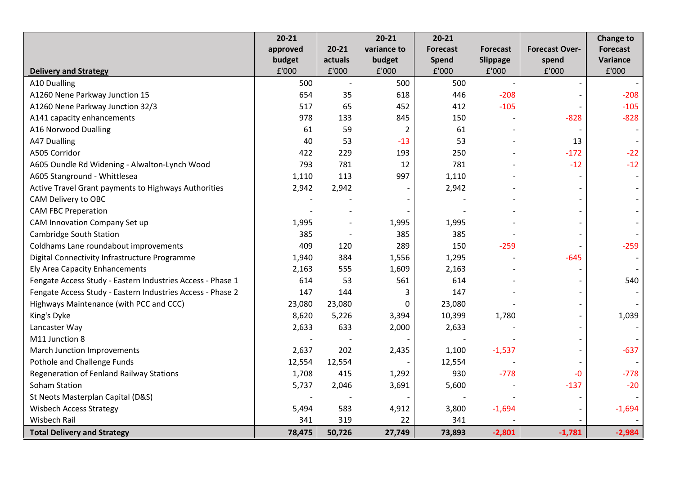|                                                            | $20 - 21$ |           | $20 - 21$      | $20 - 21$       |                 |                       | <b>Change to</b> |
|------------------------------------------------------------|-----------|-----------|----------------|-----------------|-----------------|-----------------------|------------------|
|                                                            | approved  | $20 - 21$ | variance to    | <b>Forecast</b> | <b>Forecast</b> | <b>Forecast Over-</b> | <b>Forecast</b>  |
|                                                            | budget    | actuals   | budget         | Spend           | Slippage        | spend                 | Variance         |
| <b>Delivery and Strategy</b>                               | £'000     | £'000     | £'000          | £'000           | £'000           | £'000                 | £'000            |
| A10 Dualling                                               | 500       |           | 500            | 500             |                 |                       |                  |
| A1260 Nene Parkway Junction 15                             | 654       | 35        | 618            | 446             | $-208$          |                       | $-208$           |
| A1260 Nene Parkway Junction 32/3                           | 517       | 65        | 452            | 412             | $-105$          |                       | $-105$           |
| A141 capacity enhancements                                 | 978       | 133       | 845            | 150             |                 | $-828$                | $-828$           |
| A16 Norwood Dualling                                       | 61        | 59        | $\overline{2}$ | 61              |                 |                       |                  |
| A47 Dualling                                               | 40        | 53        | $-13$          | 53              |                 | 13                    |                  |
| A505 Corridor                                              | 422       | 229       | 193            | 250             |                 | $-172$                | $-22$            |
| A605 Oundle Rd Widening - Alwalton-Lynch Wood              | 793       | 781       | 12             | 781             |                 | $-12$                 | $-12$            |
| A605 Stanground - Whittlesea                               | 1,110     | 113       | 997            | 1,110           |                 |                       |                  |
| Active Travel Grant payments to Highways Authorities       | 2,942     | 2,942     |                | 2,942           |                 |                       |                  |
| CAM Delivery to OBC                                        |           |           |                |                 |                 |                       |                  |
| <b>CAM FBC Preperation</b>                                 |           |           |                |                 |                 |                       |                  |
| CAM Innovation Company Set up                              | 1,995     |           | 1,995          | 1,995           |                 |                       |                  |
| Cambridge South Station                                    | 385       |           | 385            | 385             |                 |                       |                  |
| Coldhams Lane roundabout improvements                      | 409       | 120       | 289            | 150             | $-259$          |                       | $-259$           |
| Digital Connectivity Infrastructure Programme              | 1,940     | 384       | 1,556          | 1,295           |                 | $-645$                |                  |
| Ely Area Capacity Enhancements                             | 2,163     | 555       | 1,609          | 2,163           |                 |                       |                  |
| Fengate Access Study - Eastern Industries Access - Phase 1 | 614       | 53        | 561            | 614             |                 |                       | 540              |
| Fengate Access Study - Eastern Industries Access - Phase 2 | 147       | 144       | 3              | 147             |                 |                       |                  |
| Highways Maintenance (with PCC and CCC)                    | 23,080    | 23,080    | 0              | 23,080          |                 |                       |                  |
| King's Dyke                                                | 8,620     | 5,226     | 3,394          | 10,399          | 1,780           |                       | 1,039            |
| Lancaster Way                                              | 2,633     | 633       | 2,000          | 2,633           |                 |                       |                  |
| M11 Junction 8                                             |           |           |                |                 |                 |                       |                  |
| March Junction Improvements                                | 2,637     | 202       | 2,435          | 1,100           | $-1,537$        |                       | $-637$           |
| Pothole and Challenge Funds                                | 12,554    | 12,554    |                | 12,554          |                 |                       |                  |
| Regeneration of Fenland Railway Stations                   | 1,708     | 415       | 1,292          | 930             | $-778$          | $-0$                  | $-778$           |
| Soham Station                                              | 5,737     | 2,046     | 3,691          | 5,600           |                 | $-137$                | $-20$            |
| St Neots Masterplan Capital (D&S)                          |           |           |                |                 |                 |                       |                  |
| <b>Wisbech Access Strategy</b>                             | 5,494     | 583       | 4,912          | 3,800           | $-1,694$        |                       | $-1,694$         |
| Wisbech Rail                                               | 341       | 319       | 22             | 341             |                 |                       |                  |
| <b>Total Delivery and Strategy</b>                         | 78,475    | 50,726    | 27,749         | 73,893          | $-2,801$        | $-1,781$              | $-2,984$         |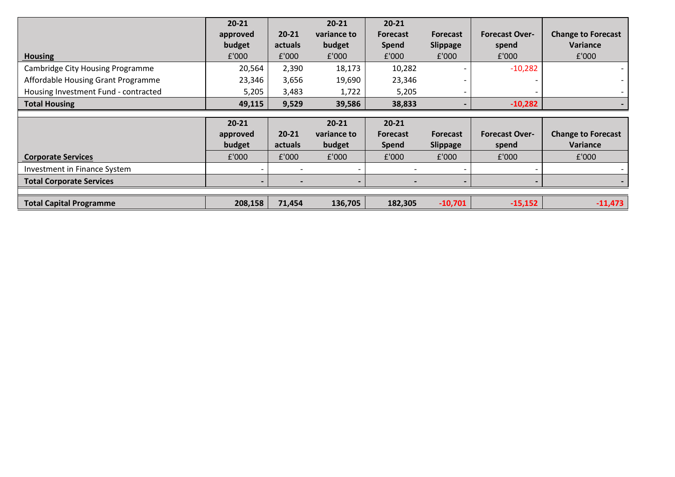|                                         | $20 - 21$          | $20 - 21$ | $20 - 21$<br>variance to | $20 - 21$                       |                                    | <b>Forecast Over-</b> |                                       |
|-----------------------------------------|--------------------|-----------|--------------------------|---------------------------------|------------------------------------|-----------------------|---------------------------------------|
|                                         | approved<br>budget | actuals   | budget                   | <b>Forecast</b><br><b>Spend</b> | <b>Forecast</b><br><b>Slippage</b> | spend                 | <b>Change to Forecast</b><br>Variance |
| <b>Housing</b>                          | £'000              | £'000     | £'000                    | £'000                           | £'000                              | £'000                 | £'000                                 |
| <b>Cambridge City Housing Programme</b> | 20,564             | 2,390     | 18,173                   | 10,282                          |                                    | $-10,282$             |                                       |
| Affordable Housing Grant Programme      | 23,346             | 3,656     | 19,690                   | 23,346                          |                                    |                       |                                       |
| Housing Investment Fund - contracted    | 5,205              | 3,483     | 1,722                    | 5,205                           |                                    |                       |                                       |
| <b>Total Housing</b>                    | 49,115             | 9,529     | 39,586                   | 38,833                          |                                    | $-10,282$             |                                       |
|                                         |                    |           |                          |                                 |                                    |                       |                                       |
|                                         |                    |           |                          |                                 |                                    |                       |                                       |
|                                         | $20 - 21$          |           | $20 - 21$                | $20 - 21$                       |                                    |                       |                                       |
|                                         | approved           | $20 - 21$ | variance to              | <b>Forecast</b>                 | <b>Forecast</b>                    | <b>Forecast Over-</b> | <b>Change to Forecast</b>             |
|                                         | budget             | actuals   | budget                   | <b>Spend</b>                    | <b>Slippage</b>                    | spend                 | <b>Variance</b>                       |
| <b>Corporate Services</b>               | £'000              | £'000     | £'000                    | £'000                           | £'000                              | £'000                 | £'000                                 |
| Investment in Finance System            |                    |           |                          |                                 |                                    |                       |                                       |
| <b>Total Corporate Services</b>         |                    |           |                          |                                 |                                    |                       |                                       |
|                                         |                    |           |                          |                                 |                                    |                       |                                       |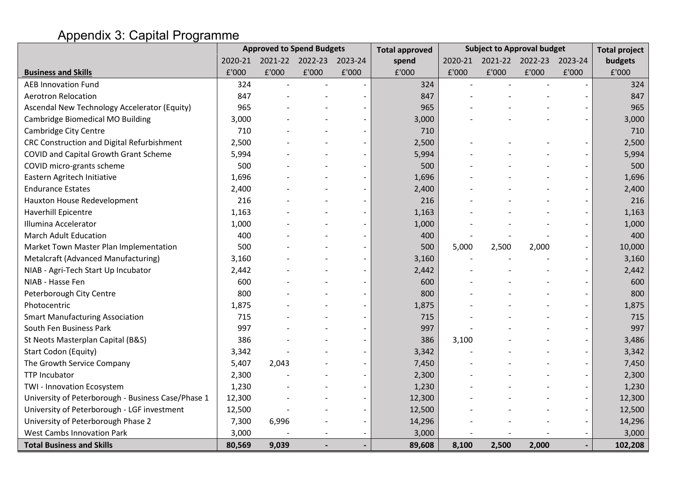## Appendix 3: Capital Programme

|                                                    |         |       | <b>Approved to Spend Budgets</b> |       | <b>Total approved</b> |         |       | <b>Subject to Approval budget</b> |       | <b>Total project</b> |
|----------------------------------------------------|---------|-------|----------------------------------|-------|-----------------------|---------|-------|-----------------------------------|-------|----------------------|
|                                                    | 2020-21 |       | 2021-22 2022-23 2023-24          |       | spend                 | 2020-21 |       | 2021-22 2022-23 2023-24           |       | budgets              |
| <b>Business and Skills</b>                         | £'000   | £'000 | £'000                            | £'000 | £'000                 | £'000   | £'000 | £'000                             | £'000 | £'000                |
| <b>AEB Innovation Fund</b>                         | 324     |       |                                  |       | 324                   |         |       |                                   |       | 324                  |
| <b>Aerotron Relocation</b>                         | 847     |       |                                  |       | 847                   |         |       |                                   |       | 847                  |
| Ascendal New Technology Accelerator (Equity)       | 965     |       |                                  |       | 965                   |         |       |                                   |       | 965                  |
| Cambridge Biomedical MO Building                   | 3,000   |       |                                  |       | 3,000                 |         |       |                                   |       | 3,000                |
| Cambridge City Centre                              | 710     |       |                                  |       | 710                   |         |       |                                   |       | 710                  |
| CRC Construction and Digital Refurbishment         | 2,500   |       |                                  |       | 2,500                 |         |       |                                   |       | 2,500                |
| COVID and Capital Growth Grant Scheme              | 5,994   |       |                                  |       | 5,994                 |         |       |                                   |       | 5,994                |
| COVID micro-grants scheme                          | 500     |       |                                  |       | 500                   |         |       |                                   |       | 500                  |
| Eastern Agritech Initiative                        | 1,696   |       |                                  |       | 1,696                 |         |       |                                   |       | 1,696                |
| <b>Endurance Estates</b>                           | 2,400   |       |                                  |       | 2,400                 |         |       |                                   |       | 2,400                |
| Hauxton House Redevelopment                        | 216     |       |                                  |       | 216                   |         |       |                                   |       | 216                  |
| <b>Haverhill Epicentre</b>                         | 1,163   |       |                                  |       | 1,163                 |         |       |                                   |       | 1,163                |
| Illumina Accelerator                               | 1,000   |       |                                  |       | 1,000                 |         |       |                                   |       | 1,000                |
| <b>March Adult Education</b>                       | 400     |       |                                  |       | 400                   |         |       |                                   |       | 400                  |
| Market Town Master Plan Implementation             | 500     |       |                                  |       | 500                   | 5,000   | 2,500 | 2,000                             |       | 10,000               |
| Metalcraft (Advanced Manufacturing)                | 3,160   |       |                                  |       | 3,160                 |         |       |                                   |       | 3,160                |
| NIAB - Agri-Tech Start Up Incubator                | 2,442   |       |                                  |       | 2,442                 |         |       |                                   |       | 2,442                |
| NIAB - Hasse Fen                                   | 600     |       |                                  |       | 600                   |         |       |                                   |       | 600                  |
| Peterborough City Centre                           | 800     |       |                                  |       | 800                   |         |       |                                   |       | 800                  |
| Photocentric                                       | 1,875   |       |                                  |       | 1,875                 |         |       |                                   |       | 1,875                |
| <b>Smart Manufacturing Association</b>             | 715     |       |                                  |       | 715                   |         |       |                                   |       | 715                  |
| South Fen Business Park                            | 997     |       |                                  |       | 997                   |         |       |                                   |       | 997                  |
| St Neots Masterplan Capital (B&S)                  | 386     |       |                                  |       | 386                   | 3,100   |       |                                   |       | 3,486                |
| Start Codon (Equity)                               | 3,342   |       |                                  |       | 3,342                 |         |       |                                   |       | 3,342                |
| The Growth Service Company                         | 5,407   | 2,043 |                                  |       | 7,450                 |         |       |                                   |       | 7,450                |
| <b>TTP Incubator</b>                               | 2,300   |       |                                  |       | 2,300                 |         |       |                                   |       | 2,300                |
| TWI - Innovation Ecosystem                         | 1,230   |       |                                  |       | 1,230                 |         |       |                                   |       | 1,230                |
| University of Peterborough - Business Case/Phase 1 | 12,300  |       |                                  |       | 12,300                |         |       |                                   |       | 12,300               |
| University of Peterborough - LGF investment        | 12,500  |       |                                  |       | 12,500                |         |       |                                   |       | 12,500               |
| University of Peterborough Phase 2                 | 7,300   | 6,996 |                                  |       | 14,296                |         |       |                                   |       | 14,296               |
| <b>West Cambs Innovation Park</b>                  | 3,000   |       |                                  |       | 3,000                 |         |       |                                   |       | 3,000                |
| <b>Total Business and Skills</b>                   | 80,569  | 9,039 |                                  |       | 89,608                | 8,100   | 2,500 | 2,000                             |       | 102,208              |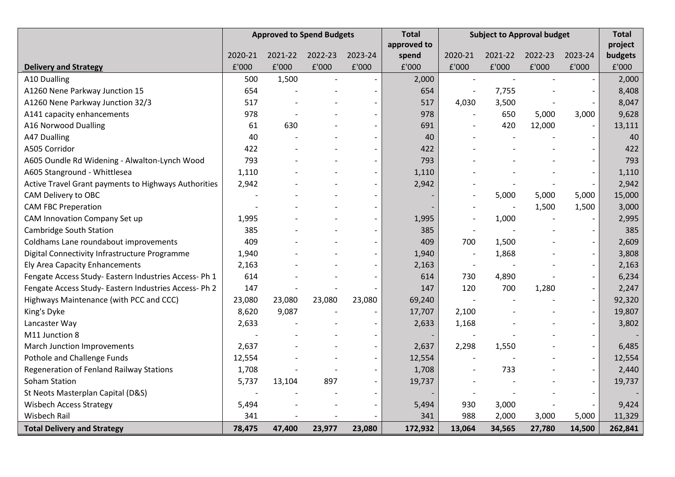|                                                      | <b>Approved to Spend Budgets</b> |         | <b>Total</b> | <b>Subject to Approval budget</b> |             |                          | <b>Total</b> |         |                          |         |
|------------------------------------------------------|----------------------------------|---------|--------------|-----------------------------------|-------------|--------------------------|--------------|---------|--------------------------|---------|
|                                                      |                                  |         |              |                                   | approved to |                          |              |         |                          | project |
|                                                      | 2020-21                          | 2021-22 | 2022-23      | 2023-24                           | spend       | 2020-21                  | 2021-22      | 2022-23 | 2023-24                  | budgets |
| <b>Delivery and Strategy</b>                         | £'000                            | £'000   | £'000        | £'000                             | £'000       | £'000                    | £'000        | £'000   | £'000                    | £'000   |
| A10 Dualling                                         | 500                              | 1,500   |              |                                   | 2,000       |                          |              |         |                          | 2,000   |
| A1260 Nene Parkway Junction 15                       | 654                              |         |              |                                   | 654         |                          | 7,755        |         | $\overline{a}$           | 8,408   |
| A1260 Nene Parkway Junction 32/3                     | 517                              |         |              |                                   | 517         | 4,030                    | 3,500        |         |                          | 8,047   |
| A141 capacity enhancements                           | 978                              |         |              | $\overline{\phantom{a}}$          | 978         | $\overline{\phantom{a}}$ | 650          | 5,000   | 3,000                    | 9,628   |
| A16 Norwood Dualling                                 | 61                               | 630     |              |                                   | 691         |                          | 420          | 12,000  |                          | 13,111  |
| A47 Dualling                                         | 40                               |         |              |                                   | 40          |                          |              |         | $\overline{a}$           | 40      |
| A505 Corridor                                        | 422                              |         |              |                                   | 422         |                          |              |         |                          | 422     |
| A605 Oundle Rd Widening - Alwalton-Lynch Wood        | 793                              |         |              |                                   | 793         |                          |              |         |                          | 793     |
| A605 Stanground - Whittlesea                         | 1,110                            |         |              |                                   | 1,110       |                          |              |         | $\overline{\phantom{a}}$ | 1,110   |
| Active Travel Grant payments to Highways Authorities | 2,942                            |         |              |                                   | 2,942       |                          |              |         | $\overline{a}$           | 2,942   |
| CAM Delivery to OBC                                  |                                  |         |              |                                   |             |                          | 5,000        | 5,000   | 5,000                    | 15,000  |
| <b>CAM FBC Preperation</b>                           |                                  |         |              |                                   |             |                          |              | 1,500   | 1,500                    | 3,000   |
| CAM Innovation Company Set up                        | 1,995                            |         |              |                                   | 1,995       |                          | 1,000        |         |                          | 2,995   |
| Cambridge South Station                              | 385                              |         |              |                                   | 385         |                          |              |         | $\overline{\phantom{a}}$ | 385     |
| Coldhams Lane roundabout improvements                | 409                              |         |              |                                   | 409         | 700                      | 1,500        |         | $\overline{\phantom{a}}$ | 2,609   |
| Digital Connectivity Infrastructure Programme        | 1,940                            |         |              |                                   | 1,940       | $\overline{\phantom{a}}$ | 1,868        |         | $\overline{\phantom{m}}$ | 3,808   |
| Ely Area Capacity Enhancements                       | 2,163                            |         |              |                                   | 2,163       |                          |              |         |                          | 2,163   |
| Fengate Access Study-Eastern Industries Access-Ph 1  | 614                              |         |              |                                   | 614         | 730                      | 4,890        |         | $\overline{\phantom{a}}$ | 6,234   |
| Fengate Access Study-Eastern Industries Access-Ph 2  | 147                              |         |              |                                   | 147         | 120                      | 700          | 1,280   | $\overline{\phantom{a}}$ | 2,247   |
| Highways Maintenance (with PCC and CCC)              | 23,080                           | 23,080  | 23,080       | 23,080                            | 69,240      | $\overline{\phantom{a}}$ |              |         | $\overline{\phantom{a}}$ | 92,320  |
| King's Dyke                                          | 8,620                            | 9,087   |              |                                   | 17,707      | 2,100                    |              |         |                          | 19,807  |
| Lancaster Way                                        | 2,633                            |         |              |                                   | 2,633       | 1,168                    |              |         | $\overline{\phantom{a}}$ | 3,802   |
| M11 Junction 8                                       |                                  |         |              |                                   |             | $\overline{\phantom{a}}$ |              |         | $\overline{\phantom{a}}$ |         |
| <b>March Junction Improvements</b>                   | 2,637                            |         |              |                                   | 2,637       | 2,298                    | 1,550        |         | $\overline{\phantom{a}}$ | 6,485   |
| Pothole and Challenge Funds                          | 12,554                           |         |              |                                   | 12,554      |                          |              |         | $\overline{\phantom{m}}$ | 12,554  |
| Regeneration of Fenland Railway Stations             | 1,708                            |         |              |                                   | 1,708       |                          | 733          |         | $\overline{\phantom{a}}$ | 2,440   |
| Soham Station                                        | 5,737                            | 13,104  | 897          |                                   | 19,737      |                          |              |         |                          | 19,737  |
| St Neots Masterplan Capital (D&S)                    |                                  |         |              |                                   |             |                          |              |         |                          |         |
| <b>Wisbech Access Strategy</b>                       | 5,494                            |         |              |                                   | 5,494       | 930                      | 3,000        |         |                          | 9,424   |
| <b>Wisbech Rail</b>                                  | 341                              |         |              |                                   | 341         | 988                      | 2,000        | 3,000   | 5,000                    | 11,329  |
| <b>Total Delivery and Strategy</b>                   | 78,475                           | 47,400  | 23,977       | 23,080                            | 172,932     | 13,064                   | 34,565       | 27,780  | 14,500                   | 262,841 |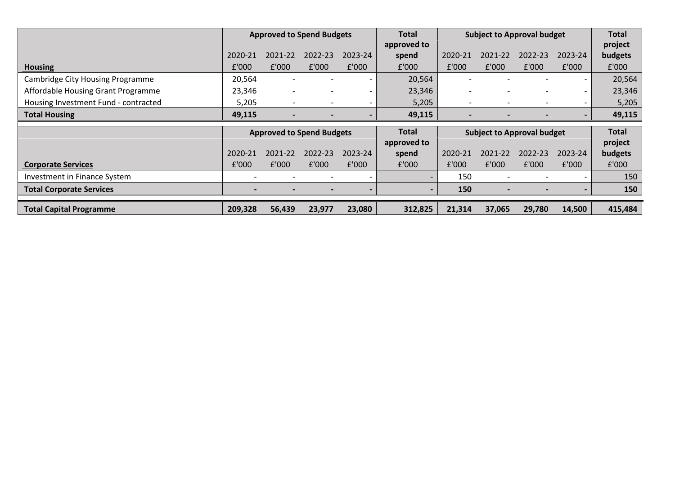|                                         | <b>Approved to Spend Budgets</b> |                          | <b>Total</b>                     | <b>Subject to Approval budget</b> |             |                          |                          | <b>Total</b>                      |                          |              |
|-----------------------------------------|----------------------------------|--------------------------|----------------------------------|-----------------------------------|-------------|--------------------------|--------------------------|-----------------------------------|--------------------------|--------------|
|                                         |                                  |                          |                                  |                                   | approved to |                          |                          |                                   |                          | project      |
|                                         | 2020-21                          | 2021-22                  | 2022-23                          | 2023-24                           | spend       | 2020-21                  | 2021-22                  | 2022-23                           | 2023-24                  | budgets      |
| <b>Housing</b>                          | £'000                            | f'000                    | £'000                            | f'000                             | £'000       | £'000                    | £'000                    | f'000                             | £'000                    | £'000        |
| <b>Cambridge City Housing Programme</b> | 20,564                           |                          |                                  |                                   | 20,564      |                          |                          |                                   | $\overline{\phantom{0}}$ | 20,564       |
| Affordable Housing Grant Programme      | 23,346                           | $\overline{\phantom{0}}$ |                                  |                                   | 23,346      | $\overline{\phantom{0}}$ |                          |                                   |                          | 23,346       |
| Housing Investment Fund - contracted    | 5,205                            |                          |                                  |                                   | 5,205       |                          | $\overline{\phantom{a}}$ |                                   | $\overline{\phantom{0}}$ | 5,205        |
| <b>Total Housing</b>                    | 49,115                           |                          |                                  |                                   | 49,115      |                          |                          |                                   |                          | 49,115       |
|                                         |                                  |                          |                                  |                                   |             |                          |                          |                                   |                          |              |
|                                         |                                  |                          | <b>Approved to Spend Budgets</b> |                                   | Total       |                          |                          | <b>Subject to Approval budget</b> |                          | <b>Total</b> |
|                                         |                                  |                          |                                  |                                   | approved to |                          |                          |                                   |                          | project      |
|                                         | 2020-21                          | 2021-22                  | 2022-23                          | 2023-24                           | spend       | 2020-21                  | 2021-22                  | 2022-23                           | 2023-24                  | budgets      |
| <b>Corporate Services</b>               | £'000                            | f'000                    | £'000                            | f'000                             | £'000       | f'000                    | £'000                    | f'000                             | £'000                    | £'000        |
| Investment in Finance System            | $\overline{\phantom{a}}$         |                          |                                  |                                   |             | 150                      |                          |                                   |                          | 150          |
| <b>Total Corporate Services</b>         |                                  |                          |                                  |                                   |             | 150                      |                          |                                   |                          | 150          |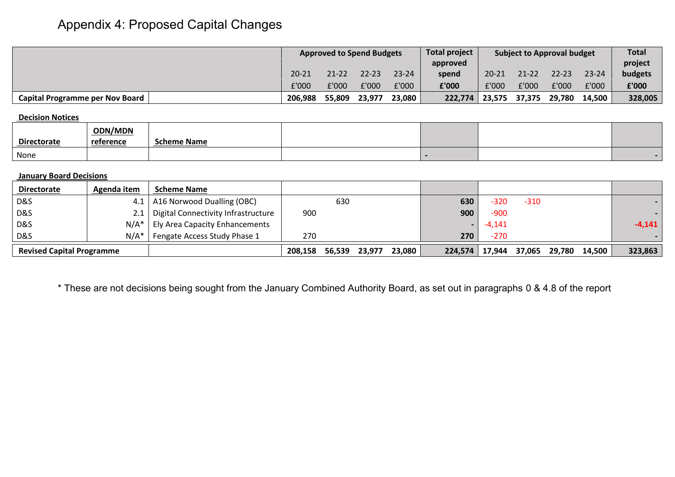# Appendix 4: Proposed Capital Changes

|                                 |           | <b>Total project</b><br><b>Approved to Spend Budgets</b> |           | <b>Subject to Approval budget</b> |          |           | <b>Total</b> |           |           |         |
|---------------------------------|-----------|----------------------------------------------------------|-----------|-----------------------------------|----------|-----------|--------------|-----------|-----------|---------|
|                                 |           |                                                          |           |                                   | approved |           |              |           |           | project |
|                                 | $20 - 21$ | $21 - 22$                                                | $22 - 23$ | $23 - 24$                         | spend    | $20 - 21$ | $21 - 22$    | $22 - 23$ | $23 - 24$ | budgets |
|                                 | £'000     | £'000                                                    | £'000     | £'000                             | £'000    | £'000     | :'000        | £'000     | f'000     | £'000   |
| Capital Programme per Nov Board | 206,988   | 55,809                                                   | 23,977    | 23,080                            | 222,774  | 23,575    | 37,375       | 29,780    | 14,500    | 328,005 |

### **Decision Notices**

| <b>Directorate</b> | <b>ODN/MDN</b><br>reference | Scheme Name |  |  |
|--------------------|-----------------------------|-------------|--|--|
| None               |                             |             |  |  |

### **January Board Decisions**

| <b>Directorate</b>               | Agenda item | <b>Scheme Name</b>                    |         |        |        |        |         |          |        |        |        |          |
|----------------------------------|-------------|---------------------------------------|---------|--------|--------|--------|---------|----------|--------|--------|--------|----------|
| D&S                              |             | 4.1   A16 Norwood Dualling (OBC)      |         | 630    |        |        | 630     | -320     | $-310$ |        |        |          |
| <b>D&amp;S</b>                   | 2.1         | Digital Connectivity Infrastructure   | 900     |        |        |        | 900     | $-900$   |        |        |        |          |
| <b>D&amp;S</b>                   | $N/A^*$     | <b>Ely Area Capacity Enhancements</b> |         |        |        |        |         | $-4,141$ |        |        |        | $-4,141$ |
| D&S                              | $N/A^*$     | Fengate Access Study Phase 1          | 270     |        |        |        | 270     | $-270$   |        |        |        |          |
| <b>Revised Capital Programme</b> |             |                                       | 208,158 | 56,539 | 23.977 | 23,080 | 224,574 | 17,944   | 37,065 | 29,780 | 14,500 | 323,863  |

\* These are not decisions being sought from the January Combined Authority Board, as set out in paragraphs [0](#page-5-2) & [4.8](#page-5-3) of the report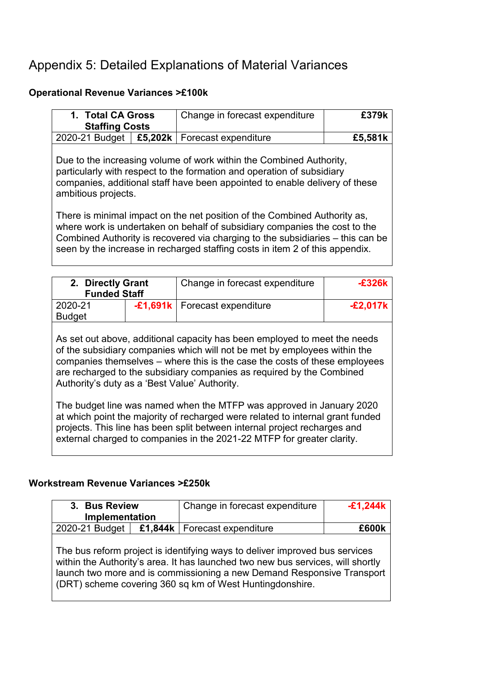## Appendix 5: Detailed Explanations of Material Variances

### **Operational Revenue Variances >£100k**

| 1. Total CA Gross<br><b>Staffing Costs</b>                                                                                                                                                                                                                     |                                         | Change in forecast expenditure                                                                                                                                                                                                                                                                                            | £379k |  |  |  |
|----------------------------------------------------------------------------------------------------------------------------------------------------------------------------------------------------------------------------------------------------------------|-----------------------------------------|---------------------------------------------------------------------------------------------------------------------------------------------------------------------------------------------------------------------------------------------------------------------------------------------------------------------------|-------|--|--|--|
| 2020-21 Budget                                                                                                                                                                                                                                                 | £5,202 $k \mid$<br>Forecast expenditure |                                                                                                                                                                                                                                                                                                                           |       |  |  |  |
| £5,581k<br>Due to the increasing volume of work within the Combined Authority,<br>particularly with respect to the formation and operation of subsidiary<br>companies, additional staff have been appointed to enable delivery of these<br>ambitious projects. |                                         |                                                                                                                                                                                                                                                                                                                           |       |  |  |  |
|                                                                                                                                                                                                                                                                |                                         | There is minimal impact on the net position of the Combined Authority as,<br>where work is undertaken on behalf of subsidiary companies the cost to the<br>Combined Authority is recovered via charging to the subsidiaries – this can be<br>seen by the increase in recharged staffing costs in item 2 of this appendix. |       |  |  |  |

| 2. Directly Grant<br><b>Funded Staff</b> |  | Change in forecast expenditure    | -£326k   |  |
|------------------------------------------|--|-----------------------------------|----------|--|
| 2020-21                                  |  | $-£1,691k$   Forecast expenditure | -£2,017k |  |
| <b>Budget</b>                            |  |                                   |          |  |

As set out above, additional capacity has been employed to meet the needs of the subsidiary companies which will not be met by employees within the companies themselves – where this is the case the costs of these employees are recharged to the subsidiary companies as required by the Combined Authority's duty as a 'Best Value' Authority.

The budget line was named when the MTFP was approved in January 2020 at which point the majority of recharged were related to internal grant funded projects. This line has been split between internal project recharges and external charged to companies in the 2021-22 MTFP for greater clarity.

### **Workstream Revenue Variances >£250k**

| 3. Bus Review<br>Implementation |  | Change in forecast expenditure                                                                                                                                                                                                                                                                       | $-£1,244k$ |
|---------------------------------|--|------------------------------------------------------------------------------------------------------------------------------------------------------------------------------------------------------------------------------------------------------------------------------------------------------|------------|
| 2020-21 Budget                  |  | £1,844 $k$   Forecast expenditure                                                                                                                                                                                                                                                                    | frouk      |
|                                 |  | The bus reform project is identifying ways to deliver improved bus services<br>within the Authority's area. It has launched two new bus services, will shortly<br>launch two more and is commissioning a new Demand Responsive Transport<br>(DRT) scheme covering 360 sq km of West Huntingdonshire. |            |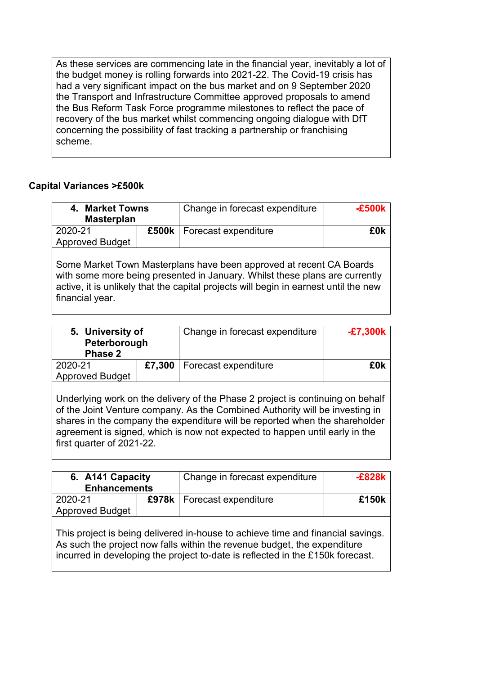As these services are commencing late in the financial year, inevitably a lot of the budget money is rolling forwards into 2021-22. The Covid-19 crisis has had a very significant impact on the bus market and on 9 September 2020 the Transport and Infrastructure Committee approved proposals to amend the Bus Reform Task Force programme milestones to reflect the pace of recovery of the bus market whilst commencing ongoing dialogue with DfT concerning the possibility of fast tracking a partnership or franchising scheme.

### **Capital Variances >£500k**

| 4. Market Towns<br><b>Masterplan</b>                                                                                                               |                                                                                      | Change in forecast expenditure | $-£500k$ |  |  |  |  |
|----------------------------------------------------------------------------------------------------------------------------------------------------|--------------------------------------------------------------------------------------|--------------------------------|----------|--|--|--|--|
|                                                                                                                                                    |                                                                                      |                                |          |  |  |  |  |
| 2020-21                                                                                                                                            |                                                                                      | £500k   Forecast expenditure   | £0k      |  |  |  |  |
| <b>Approved Budget</b>                                                                                                                             |                                                                                      |                                |          |  |  |  |  |
|                                                                                                                                                    |                                                                                      |                                |          |  |  |  |  |
| Some Market Town Masterplans have been approved at recent CA Boards<br>with some more being presented in January. Whilst these plans are currently |                                                                                      |                                |          |  |  |  |  |
|                                                                                                                                                    | active, it is unlikely that the capital projects will begin in earnest until the new |                                |          |  |  |  |  |

financial year.

| 5. University of<br>Peterborough<br>Phase 2 |        | Change in forecast expenditure | $-£7,300k$ |
|---------------------------------------------|--------|--------------------------------|------------|
| 2020-21<br><b>Approved Budget</b>           | £7,300 | Forecast expenditure           | £0k        |

Underlying work on the delivery of the Phase 2 project is continuing on behalf of the Joint Venture company. As the Combined Authority will be investing in shares in the company the expenditure will be reported when the shareholder agreement is signed, which is now not expected to happen until early in the first quarter of 2021-22.

| 6. A141 Capacity<br><b>Enhancements</b> | Change in forecast expenditure | $-E828k$ |
|-----------------------------------------|--------------------------------|----------|
| 2020-21<br><b>Approved Budget</b>       | £978k   Forecast expenditure   | £150k    |
|                                         |                                |          |

This project is being delivered in-house to achieve time and financial savings. As such the project now falls within the revenue budget, the expenditure incurred in developing the project to-date is reflected in the £150k forecast.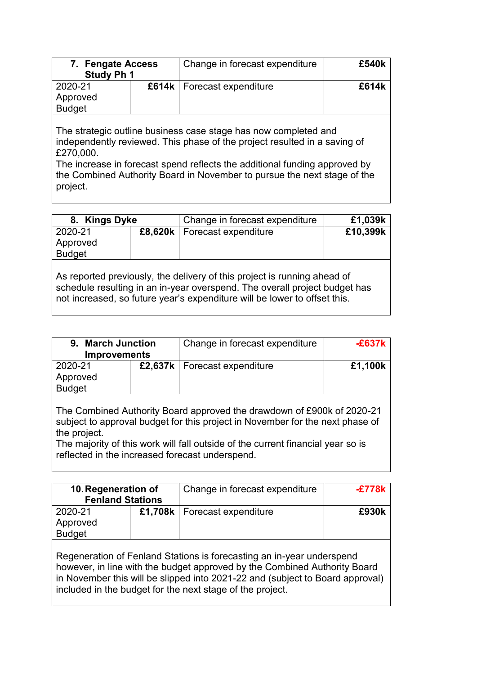| 7. Fengate Access<br><b>Study Ph 1</b> | Change in forecast expenditure | £540k |
|----------------------------------------|--------------------------------|-------|
| 2020-21<br>Approved<br><b>Budget</b>   | £614k   Forecast expenditure   | £614k |

The strategic outline business case stage has now completed and independently reviewed. This phase of the project resulted in a saving of £270,000.

The increase in forecast spend reflects the additional funding approved by the Combined Authority Board in November to pursue the next stage of the project.

| 8. Kings Dyke                                                                                                                                                                                                                       |  | Change in forecast expenditure | £1,039k  |  |  |
|-------------------------------------------------------------------------------------------------------------------------------------------------------------------------------------------------------------------------------------|--|--------------------------------|----------|--|--|
| 2020-21                                                                                                                                                                                                                             |  | £8,620k   Forecast expenditure | £10,399k |  |  |
| Approved                                                                                                                                                                                                                            |  |                                |          |  |  |
| <b>Budget</b>                                                                                                                                                                                                                       |  |                                |          |  |  |
| As reported previously, the delivery of this project is running ahead of<br>schedule resulting in an in-year overspend. The overall project budget has<br>not increased, so future year's expenditure will be lower to offset this. |  |                                |          |  |  |

| 9. March Junction<br><b>Improvements</b> |  | Change in forecast expenditure                                                                                                                          | $-E637k$ |
|------------------------------------------|--|---------------------------------------------------------------------------------------------------------------------------------------------------------|----------|
| 2020-21<br>Approved<br><b>Budget</b>     |  | £2,637k   Forecast expenditure                                                                                                                          | £1,100k  |
|                                          |  | The Combined Authority Board approved the drawdown of £900k of 2020-21<br>subject to approval budget for this project in November for the next phase of |          |

the project. The majority of this work will fall outside of the current financial year so is

reflected in the increased forecast underspend.

| 10. Regeneration of<br><b>Fenland Stations</b> |  | Change in forecast expenditure | -£778k |
|------------------------------------------------|--|--------------------------------|--------|
| 2020-21<br>Approved<br><b>Budget</b>           |  | £1,708k   Forecast expenditure | £930k  |
|                                                |  |                                |        |

Regeneration of Fenland Stations is forecasting an in-year underspend however, in line with the budget approved by the Combined Authority Board in November this will be slipped into 2021-22 and (subject to Board approval) included in the budget for the next stage of the project.